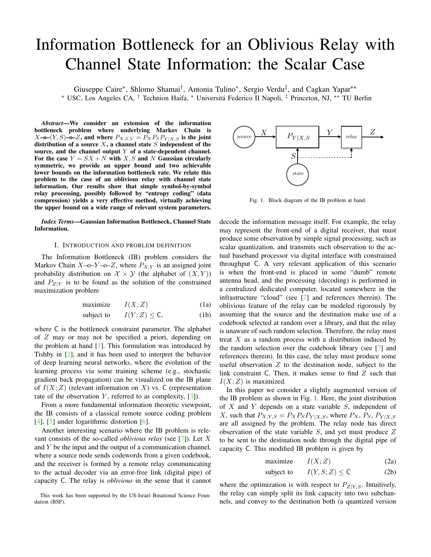# Information Bottleneck for an Oblivious Relay with Channel State Information: the Scalar Case

Giuseppe Caire<sup>\*</sup>, Shlomo Shamai<sup>†</sup>, Antonia Tulino<sup>\*</sup>, Sergio Verdu<sup>‡</sup>, and Cagkan Yapar<sup>\*\*</sup> \* USC, Los Angeles CA, <sup>†</sup> Technion Haifa, \* Universitá Federico II Napoli, <sup>‡</sup> Princeton, NJ, \*\* TU Berlin

*Abstract*—We consider an extension of the information bottleneck problem where underlying Markov Chain is  $X$ –o– $(Y, S)$ –o– $Z$ , and where  $P_{X, S, Y} = P_X P_S P_{Y|X, S}$  is the joint distribution of a source  $X$ , a channel state  $S$  independent of the source, and the channel output  $Y$  of a state-dependent channel. For the case  $Y = SX + N$  with X, S and N Gaussian circularly symmetric, we provide an upper bound and two achievable lower bounds on the information bottleneck rate. We relate this problem to the case of an oblivious relay with channel state information. Our results show that simple symbol-by-symbol relay processing, possibly followed by "entropy coding" (data compression) yields a very effective method, virtually achieving the upper bound on a wide range of relevant system parameters.

*Index Terms*—Gaussian Information Bottleneck, Channel State Information.

### I. INTRODUCTION AND PROBLEM DEFINITION

The Information Bottleneck (IB) problem considers the Markov Chain  $X$ –o– $Y$ –o– $Z$ , where  $P_{X,Y}$  is an assigned joint probability distribution on  $\mathcal{X} \times \mathcal{Y}$  (the alphabet of  $(X, Y)$ ) and  $P_{Z|Y}$  is to be found as the solution of the constrained maximization problem

$$
\text{maximize} \qquad I(X;Z) \tag{1a}
$$

$$
subject to \tI(Y;Z) \leq \mathsf{C}, \t(1b)
$$

where C is the bottleneck constraint parameter. The alphabet of Z may or may not be specified a priori, depending on the problem at hand [\[1\]](#page-4-0). This formulation was introduced by Tishby in [\[2\]](#page-4-1), and it has been used to interpret the behavior of deep learning neural networks, where the evolution of the learning process via some training scheme (e.g., stochastic gradient back propagation) can be visualized on the IB plane of  $I(X; Z)$  (relevant information on X) vs. C (representation rate of the observation Y, referred to as complexity,  $[3]$ ).

From a more fundamental information theoretic viewpoint, the IB consists of a classical remote source coding problem [\[4\]](#page-4-3), [\[5\]](#page-4-4) under logarithmic distortion [\[6\]](#page-4-5).

Another interesting scenario where the IB problem is relevant consists of the so-called *oblivious relay* (see [\[7\]](#page-4-6)). Let X and Y be the input and the output of a communication channel, where a source node sends codewords from a given codebook, and the receiver is formed by a remote relay communicating to the actual decoder via an error-free link (digital pipe) of capacity C. The relay is *oblivious* in the sense that it cannot





<span id="page-0-0"></span>Fig. 1. Block diagram of the IB problem at hand.

decode the information message itself. For example, the relay may represent the front-end of a digital receiver, that must produce some observation by simple signal processing, such as scalar quantization, and transmits such observation to the actual baseband processor via digital interface with constrained throughput C. A very relevant application of this scenario is when the front-end is placed in some "dumb" remote antenna head, and the processing (decoding) is performed in a centralized dedicated computer, located somewhere in the infrastructure "cloud" (see [\[7\]](#page-4-6) and references therein). The oblivious feature of the relay can be modeled rigorously by assuming that the source and the destination make use of a codebook selected at random over a library, and that the relay is unaware of such random selection. Therefore, the relay must treat  $X$  as a random process with a distribution induced by the random selection over the codebook library (see [\[7\]](#page-4-6) and references therein). In this case, the relay must produce some useful observation  $Z$  to the destination node, subject to the link constraint C. Then, it makes sense to find  $Z$  such that  $I(X; Z)$  is maximized.

In this paper we consider a slightly augmented version of the IB problem as shown in Fig. [1.](#page-0-0) Here, the joint distribution of  $X$  and  $Y$  depends on a state variable  $S$ , independent of X, such that  $P_{X,Y,S} = P_X P_S P_{Y|X,S}$ , where  $P_X$ ,  $P_S$ ,  $P_{Y|X,S}$ are all assigned by the problem. The relay node has direct observation of the state variable S, and yet must produce Z to be sent to the destination node through the digital pipe of capacity C. This modified IB problem is given by

<span id="page-0-1"></span>
$$
maximize \t I(X;Z) \t(2a)
$$

subject to 
$$
I(Y, S; Z) \le C
$$
 (2b)

where the optimization is with respect to  $P_{Z|Y,S}$ . Intuitively, the relay can simply split its link capacity into two subchannels, and convey to the destination both (a quantized version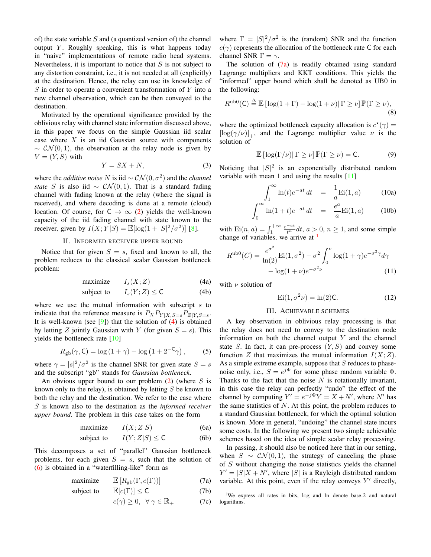of) the state variable  $S$  and (a quantized version of) the channel output Y. Roughly speaking, this is what happens today in "naive" implementations of remote radio head systems. Nevertheless, it is important to notice that  $S$  is not subject to any distortion constraint, i.e., it is not needed at all (explicitly) at the destination. Hence, the relay can use its knowledge of  $S$  in order to operate a convenient transformation of  $Y$  into a new channel observation, which can be then conveyed to the destination.

Motivated by the operational significance provided by the oblivious relay with channel state information discussed above, in this paper we focus on the simple Gaussian iid scalar case where  $X$  is an iid Gaussian source with components  $\sim \mathcal{CN}(0,1)$ , the observation at the relay node is given by  $V = (Y, S)$  with

$$
Y = SX + N,\t\t(3)
$$

where the *additive noise* N is iid  $\sim$   $CN(0, \sigma^2)$  and the *channel state* S is also iid ~  $\mathcal{CN}(0,1)$ . That is a standard fading channel with fading known at the relay (where the signal is received), and where decoding is done at a remote (cloud) location. Of course, for  $C \rightarrow \infty$  [\(2\)](#page-0-1) yields the well-known capacity of the iid fading channel with state known to the receiver, given by  $I(X;Y|S) = \mathbb{E}[\log(1+|S|^2/\sigma^2)]$  [\[8\]](#page-4-7).

## <span id="page-1-0"></span>II. INFORMED RECEIVER UPPER BOUND

<span id="page-1-5"></span>Notice that for given  $S = s$ , fixed and known to all, the problem reduces to the classical scalar Gaussian bottleneck problem:

$$
\text{maximize} \qquad I_s(X; Z) \tag{4a}
$$

$$
subject to \tIs(Y;Z) \le C \t(4b)
$$

where we use the mutual information with subscript  $s$  to indicate that the reference measure is  $P_X P_{Y|X,S=s} P_{Z|Y,S=s}$ . It is well-known (see  $[9]$ ) that the solution of  $(4)$  is obtained by letting Z jointly Gaussian with Y (for given  $S = s$ ). This yields the bottleneck rate [\[10\]](#page-4-9)

$$
R_{\rm gb}(\gamma, \mathsf{C}) = \log\left(1+\gamma\right) - \log\left(1+2^{-\mathsf{C}}\gamma\right),\tag{5}
$$

where  $\gamma = |s|^2/\sigma^2$  is the channel SNR for given state  $S = s$ and the subscript "gb" stands for *Gaussian bottleneck*.

An obvious upper bound to our problem  $(2)$  (where S is known only to the relay), is obtained by letting  $S$  be known to both the relay and the destination. We refer to the case where S is known also to the destination as the *informed receiver upper bound*. The problem in this case takes on the form

$$
\text{maximize} \qquad I(X;Z|S) \tag{6a}
$$

subject to 
$$
I(Y; Z|S) \le C
$$
 (6b)

This decomposes a set of "parallel" Gaussian bottleneck problems, for each given  $S = s$ , such that the solution of [\(6\)](#page-1-1) is obtained in a "waterfilling-like" form as

<span id="page-1-2"></span>
$$
\text{maximize} \qquad \mathbb{E}\left[R_{\text{gb}}(\Gamma, c(\Gamma))\right] \tag{7a}
$$

subject to 
$$
\mathbb{E}[c(\Gamma)] \le C
$$
 (7b)

$$
c(\gamma) \ge 0, \ \ \forall \ \gamma \in \mathbb{R}_+ \tag{7c}
$$

where  $\Gamma = |S|^2/\sigma^2$  is the (random) SNR and the function  $c(\gamma)$  represents the allocation of the bottleneck rate C for each channel SNR  $\Gamma = \gamma$ .

The solution of  $(7a)$  is readily obtained using standard Lagrange multipliers and KKT conditions. This yields the "informed" upper bound which shall be denoted as UB0 in the following:

$$
R^{\mathrm{ub0}}(\mathsf{C}) \stackrel{\Delta}{=} \mathbb{E}\left[\log(1+\Gamma) - \log(1+\nu)\right]\Gamma \ge \nu\right]\mathbb{P}(\Gamma \ge \nu),\tag{8}
$$

where the optimized bottleneck capacity allocation is  $c^*(\gamma)$  =  $[\log(\gamma/\nu)]_+$ , and the Lagrange multiplier value  $\nu$  is the solution of

$$
\mathbb{E}\left[\log(\Gamma/\nu)|\,\Gamma\geq\nu\right]\mathbb{P}(\Gamma\geq\nu)=\mathsf{C}.\tag{9}
$$

Noticing that  $|S|^2$  is an exponentially distributed random variable with mean 1 and using the results [\[11\]](#page-4-10)

$$
\int_{1}^{\infty} \ln(t)e^{-at} dt = \frac{1}{a} \text{Ei}(1, a)
$$
 (10a)

$$
\int_0^\infty \ln(1+t)e^{-at} dt = \frac{e^a}{a} \text{Ei}(1, a) \quad (10b)
$$

with  $\text{Ei}(n, a) = \int_1^{+\infty} \frac{e^{-at}}{t^n} dt, a > 0, n \ge 1$ , and some simple change of variables, we arrive at <sup>[1](#page-1-3)</sup>

$$
R^{\rm ub0}(C) = \frac{e^{\sigma^2}}{\ln(2)} \text{Ei}(1, \sigma^2) - \sigma^2 \int_0^{\nu} \log(1 + \gamma) e^{-\sigma^2 \gamma} d\gamma -\log(1 + \nu) e^{-\sigma^2 \nu}
$$
(11)

with  $\nu$  solution of

$$
\operatorname{Ei}(1, \sigma^2 \nu) = \ln(2)\mathsf{C}.\tag{12}
$$

#### III. ACHIEVABLE SCHEMES

<span id="page-1-4"></span>A key observation in oblivious relay processing is that the relay does not need to convey to the destination node information on both the channel output  $Y$  and the channel state S. In fact, it can pre-process  $(Y, S)$  and convey some function Z that maximizes the mutual information  $I(X; Z)$ . As a simple extreme example, suppose that  $S$  reduces to phasenoise only, i.e.,  $S = e^{j\Phi}$  for some phase random variable  $\Phi$ . Thanks to the fact that the noise  $\overline{N}$  is rotationally invariant, in this case the relay can perfectly "undo" the effect of the channel by computing  $Y' = e^{-j\Phi}Y = X + N'$ , where N' has the same statistics of  $N$ . At this point, the problem reduces to a standard Gaussian bottleneck, for which the optimal solution is known. More in general, "undoing" the channel state incurs some costs. In the following we present two simple achievable schemes based on the idea of simple scalar relay processing.

<span id="page-1-1"></span>In passing, it should also be noticed here that in our setting, when  $S \sim \mathcal{CN}(0,1)$ , the strategy of canceling the phase of S without changing the noise statistics yields the channel  $Y' = |S|X + N'$ , where |S| is a Rayleigh distributed random variable. At this point, even if the relay conveys  $Y'$  directly,

<span id="page-1-3"></span><sup>1</sup>We express all rates in bits, log and ln denote base-2 and natural logarithms.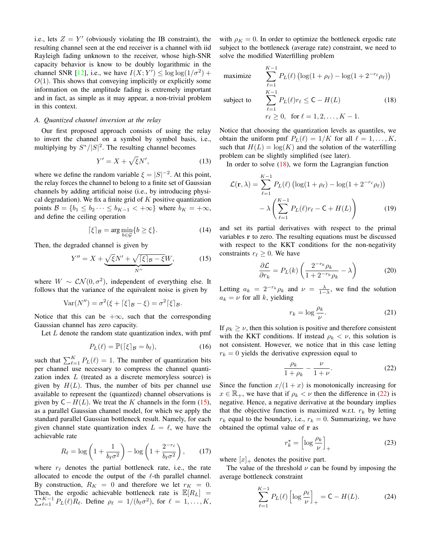i.e., lets  $Z = Y'$  (obviously violating the IB constraint), the resulting channel seen at the end receiver is a channel with iid Rayleigh fading unknown to the receiver, whose high-SNR capacity behavior is know to be doubly logarithmic in the channel SNR [\[12\]](#page-4-11), i.e., we have  $I(X;Y') \le \log \log(1/\sigma^2)$  +  $O(1)$ . This shows that conveying implicitly or explicitly some information on the amplitude fading is extremely important and in fact, as simple as it may appear, a non-trivial problem in this context.

## <span id="page-2-3"></span>*A. Quantized channel inversion at the relay*

Our first proposed approach consists of using the relay to invert the channel on a symbol by symbol basis, i.e., multiplying by  $S^*/|S|^2$ . The resulting channel becomes

$$
Y' = X + \sqrt{\xi}N',\tag{13}
$$

where we define the random variable  $\xi = |S|^{-2}$ . At this point, the relay forces the channel to belong to a finite set of Gaussian channels by adding artificial noise (i.e., by introducing physical degradation). We fix a finite grid of  $K$  positive quantization points  $\mathcal{B} = \{b_1 \leq b_2 \cdots \leq b_{K-1} < +\infty\}$  where  $b_K = +\infty$ , and define the ceiling operation

$$
\lceil \xi \rceil_{\mathcal{B}} = \arg \min_{b \in \mathcal{G}} \{ b \ge \xi \}. \tag{14}
$$

Then, the degraded channel is given by

<span id="page-2-0"></span>
$$
Y'' = X + \underbrace{\sqrt{\xi}N' + \sqrt{[\xi]_B - \xi}W}_{N''},\tag{15}
$$

where  $W \sim \mathcal{CN}(0, \sigma^2)$ , independent of everything else. It follows that the variance of the equivalent noise is given by

Var(N'') = 
$$
\sigma^2(\xi + [\xi]_B - \xi) = \sigma^2[\xi]_B
$$
.

Notice that this can be  $+\infty$ , such that the corresponding Gaussian channel has zero capacity.

Let  $L$  denote the random state quantization index, with pmf

$$
P_L(\ell) = \mathbb{P}(\lceil \xi \rceil_{\mathcal{B}} = b_{\ell}),\tag{16}
$$

such that  $\sum_{\ell=1}^{K} P_L(\ell) = 1$ . The number of quantization bits per channel use necessary to compress the channel quantization index L (treated as a discrete memoryless source) is given by  $H(L)$ . Thus, the number of bits per channel use available to represent the (quantized) channel observations is given by  $C-H(L)$ . We treat the K channels in the form [\(15\)](#page-2-0), as a parallel Gaussian channel model, for which we apply the standard parallel Gaussian bottleneck result. Namely, for each given channel state quantization index  $L = \ell$ , we have the achievable rate

$$
R_{\ell} = \log\left(1 + \frac{1}{b_{\ell}\sigma^2}\right) - \log\left(1 + \frac{2^{-r_{\ell}}}{b_{\ell}\sigma^2}\right),\qquad(17)
$$

where  $r_{\ell}$  denotes the partial bottleneck rate, i.e., the rate allocated to encode the output of the  $\ell$ -th parallel channel. By construction,  $R_K = 0$  and therefore we let  $r_K = 0$ . Then, the ergodic achievable bottleneck rate is  $\mathbb{E}[R_L] =$  $\sum_{\ell=1}^{K-1} P_L(\ell) R_{\ell}$ . Define  $\rho_{\ell} = 1/(b_{\ell} \sigma^2)$ , for  $\ell = 1, \ldots, K$ ,

with  $\rho_K = 0$ . In order to optimize the bottleneck ergodic rate subject to the bottleneck (average rate) constraint, we need to solve the modified Waterfilling problem

<span id="page-2-1"></span>maximize 
$$
\sum_{\ell=1}^{K-1} P_L(\ell) \left( \log(1 + \rho_\ell) - \log(1 + 2^{-r_\ell} \rho_\ell) \right)
$$
  
subject to 
$$
\sum_{\ell=1}^{K-1} P_L(\ell) r_\ell \le C - H(L)
$$
(18)  
 $r_\ell \ge 0$ , for  $\ell = 1, 2, ..., K - 1$ .

Notice that choosing the quantization levels as quantiles, we obtain the uniform pmf  $P_L(\ell) = 1/K$  for all  $\ell = 1, ..., K$ , such that  $H(L) = \log(K)$  and the solution of the waterfilling problem can be slightly simplified (see later).

In order to solve  $(18)$ , we form the Lagrangian function

$$
\mathcal{L}(\mathbf{r}, \lambda) = \sum_{\ell=1}^{K-1} P_L(\ell) \left( \log(1 + \rho_\ell) - \log(1 + 2^{-r_\ell} \rho_\ell) \right)
$$

$$
- \lambda \left( \sum_{\ell=1}^{K-1} P_L(\ell) r_\ell - C + H(L) \right) \tag{19}
$$

and set its partial derivatives with respect to the primal variables r to zero. The resulting equations must be discussed with respect to the KKT conditions for the non-negativity constraints  $r_\ell \geq 0$ . We have

$$
\frac{\partial \mathcal{L}}{\partial r_k} = P_L(k) \left( \frac{2^{-r_k} \rho_k}{1 + 2^{-r_k} \rho_k} - \lambda \right) \tag{20}
$$

Letting  $a_k = 2^{-r_k} \rho_k$  and  $\nu = \frac{\lambda}{1-\lambda}$ , we find the solution  $a_k = \nu$  for all k, yielding

$$
r_k = \log \frac{\rho_k}{\nu}.\tag{21}
$$

If  $\rho_k \geq \nu$ , then this solution is positive and therefore consistent with the KKT conditions. If instead  $\rho_k < \nu$ , this solution is not consistent. However, we notice that in this case letting  $r_k = 0$  yields the derivative expression equal to

<span id="page-2-2"></span>
$$
\frac{\rho_k}{1+\rho_k} - \frac{\nu}{1+\nu}.\tag{22}
$$

Since the function  $x/(1+x)$  is monotonically increasing for  $x \in \mathbb{R}_+$ , we have that if  $\rho_k < \nu$  then the difference in [\(22\)](#page-2-2) is negative. Hence, a negative derivative at the boundary implies that the objective function is maximized w.r.t.  $r_k$  by letting  $r_k$  equal to the boundary, i.e.,  $r_k = 0$ . Summarizing, we have obtained the optimal value of r as

$$
r_k^* = \left[\log \frac{\rho_k}{\nu}\right]_+ \tag{23}
$$

where  $[x]_+$  denotes the positive part.

The value of the threshold  $\nu$  can be found by imposing the average bottleneck constraint

$$
\sum_{\ell=1}^{K-1} P_L(\ell) \left[ \log \frac{\rho_\ell}{\nu} \right]_+ = \mathsf{C} - H(L). \tag{24}
$$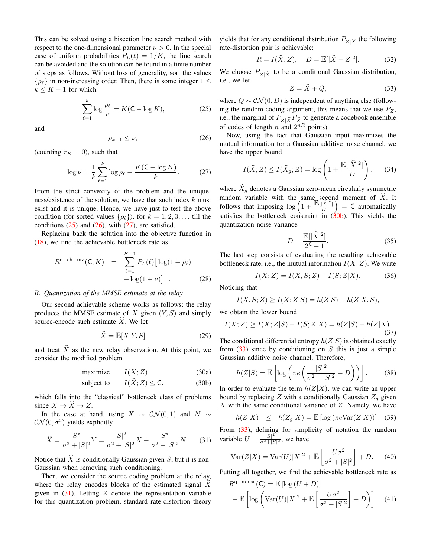This can be solved using a bisection line search method with respect to the one-dimensional parameter  $\nu > 0$ . In the special case of uniform probabilities  $P_L(\ell) = 1/K$ , the line search can be avoided and the solution can be found in a finite number of steps as follows. Without loss of generality, sort the values  $\{\rho_{\ell}\}\$ in non-increasing order. Then, there is some integer  $1 \leq$  $k \leq K - 1$  for which

<span id="page-3-0"></span>
$$
\sum_{\ell=1}^{k} \log \frac{\rho_{\ell}}{\nu} = K(C - \log K),\tag{25}
$$

and

<span id="page-3-1"></span>
$$
\rho_{k+1} \le \nu,\tag{26}
$$

(counting  $r_K = 0$ ), such that

<span id="page-3-2"></span>
$$
\log \nu = \frac{1}{k} \sum_{\ell=1}^{k} \log \rho_{\ell} - \frac{K(\mathsf{C} - \log K)}{k}.
$$
 (27)

From the strict convexity of the problem and the uniqueness/existence of the solution, we have that such index  $k$  must exist and it is unique. Hence, we have just to test the above condition (for sorted values  $\{\rho_{\ell}\}\)$ , for  $k = 1, 2, 3, \ldots$  till the conditions  $(25)$  and  $(26)$ , with  $(27)$ , are satisfied.

Replacing back the solution into the objective function in [\(18\)](#page-2-1), we find the achievable bottleneck rate as

$$
R^{q-ch - inv}(C, K) = \sum_{\ell=1}^{K-1} P_L(\ell) [\log(1 + \rho_\ell) - \log(1 + \nu)]_+.
$$
 (28)

## *B. Quantization of the MMSE estimate at the relay*

Our second achievable scheme works as follows: the relay produces the MMSE estimate of X given  $(Y, S)$  and simply source-encode such estimate  $\hat{X}$ . We let

$$
\widehat{X} = \mathbb{E}[X|Y, S] \tag{29}
$$

and treat  $\hat{X}$  as the new relay observation. At this point, we consider the modified problem

<span id="page-3-4"></span>
$$
\text{maximize} \qquad I(X; Z) \tag{30a}
$$

subject to 
$$
I(X; Z) \leq C.
$$
 (30b)

which falls into the "classical" bottleneck class of problems since  $X \to \widehat{X} \to Z$ .

In the case at hand, using  $X \sim \mathcal{CN}(0,1)$  and  $N \sim$  $\mathcal{CN}(0, \sigma^2)$  yields explicitly

<span id="page-3-3"></span>
$$
\widehat{X} = \frac{S^*}{\sigma^2 + |S|^2} Y = \frac{|S|^2}{\sigma^2 + |S|^2} X + \frac{S^*}{\sigma^2 + |S|^2} N. \tag{31}
$$

Notice that  $\widehat{X}$  is conditionally Gaussian given S, but it is non-Gaussian when removing such conditioning.

Then, we consider the source coding problem at the relay, where the relay encodes blocks of the estimated signal  $\overline{X}$ given in  $(31)$ . Letting Z denote the representation variable for this quantization problem, standard rate-distortion theory yields that for any conditional distribution  $P_{Z|\hat{X}}$  the following rate-distortion pair is achievable:

$$
R = I(\widehat{X}; Z), \quad D = \mathbb{E}[|\widehat{X} - Z|^2]. \tag{32}
$$

We choose  $P_{Z|\hat{X}}$  to be a conditional Gaussian distribution, i.e., we let

<span id="page-3-5"></span>
$$
Z = \hat{X} + Q,\tag{33}
$$

where  $Q \sim \mathcal{CN}(0, D)$  is independent of anything else (following the random coding argument, this means that we use  $P_Z$ , i.e., the marginal of  $P_{Z|\hat{X}}P_{\hat{X}}$  to generate a codebook ensemble of codes of length n and  $2^{nR}$  points).

Now, using the fact that Gaussian input maximizes the mutual information for a Gaussian additive noise channel, we have the upper bound

$$
I(\widehat{X};Z) \le I(\widehat{X}_g;Z) = \log\left(1 + \frac{\mathbb{E}[|\widehat{X}|^2]}{D}\right),\qquad(34)
$$

where  $X_q$  denotes a Gaussian zero-mean circularly symmetric random variable with the same second moment of X. It follows that imposing  $\log \left(1 + \frac{\mathbb{E}[\hat{X}]^2]}{D}\right)$  $\left(\frac{|\widehat{X}|^2}{D}\right)$  = C automatically satisfies the bottleneck constraint in  $(30b)$ . This yields the quantization noise variance

$$
D = \frac{\mathbb{E}[|\hat{X}|^2]}{2^{\mathsf{C}} - 1}.
$$
 (35)

The last step consists of evaluating the resulting achievable bottleneck rate, i.e., the mutual information  $I(X;Z)$ . We write

$$
I(X;Z) = I(X,S;Z) - I(S;Z|X).
$$
 (36)

Noticing that

$$
I(X,S;Z)\geq I(X;Z|S)=h(Z|S)-h(Z|X,S),
$$

we obtain the lower bound

$$
I(X;Z) \ge I(X;Z|S) - I(S;Z|X) = h(Z|S) - h(Z|X).
$$
\n(37)

The conditional differential entropy  $h(Z|S)$  is obtained exactly from  $(33)$  since by conditioning on S this is just a simple Gaussian additive noise channel. Therefore,

$$
h(Z|S) = \mathbb{E}\left[\log\left(\pi e \left(\frac{|S|^2}{\sigma^2 + |S|^2} + D\right)\right)\right].\tag{38}
$$

In order to evaluate the term  $h(Z|X)$ , we can write an upper bound by replacing Z with a conditionally Gaussian  $Z_g$  given  $X$  with the same conditional variance of  $Z$ . Namely, we have

$$
h(Z|X) \leq h(Z_g|X) = \mathbb{E}\left[\log\left(\pi e \text{Var}(Z|X)\right)\right]. \tag{39}
$$

From [\(33\)](#page-3-5), defining for simplicity of notation the random variable  $U = \frac{|S|^2}{\sigma^2 + |S|}$  $\frac{|\mathcal{S}|}{\sigma^2 + |\mathcal{S}|^2}$ , we have

$$
\text{Var}(Z|X) = \text{Var}(U)|X|^2 + \mathbb{E}\left[\frac{U\sigma^2}{\sigma^2 + |S|^2}\right] + D. \tag{40}
$$

Putting all together, we find the achievable bottleneck rate as

$$
R^{q-\text{mmse}}(\mathsf{C}) = \mathbb{E}\left[\log\left(U+D\right)\right]
$$

$$
-\mathbb{E}\left[\log\left(\text{Var}(U)|X|^2 + \mathbb{E}\left[\frac{U\sigma^2}{\sigma^2+|S|^2}\right] + D\right)\right]
$$
(41)